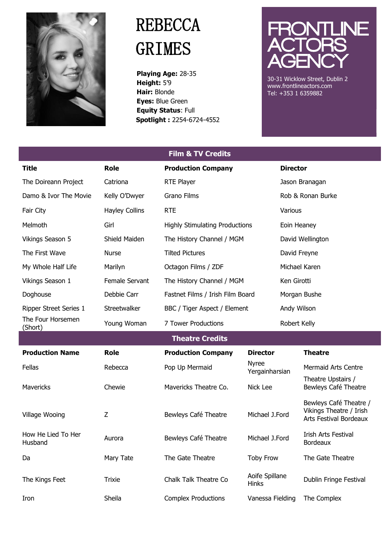

## **REBECCA** GRIMES

 **Playing Age:** 28-35  **Height:** 5'9  **Hair:** Blonde  **Eyes:** Blue Green  **Equity Status**: Full **Spotlight :** 2254-6724-4552



30-31 Wicklow Street, Dublin 2 www.frontlineactors.com Tel: +353 1 6359882

| <b>Film &amp; TV Credits</b>  |                       |                                       |                                |                  |                                                                             |  |  |
|-------------------------------|-----------------------|---------------------------------------|--------------------------------|------------------|-----------------------------------------------------------------------------|--|--|
| <b>Title</b>                  | <b>Role</b>           | <b>Production Company</b>             |                                | <b>Director</b>  |                                                                             |  |  |
| The Doireann Project          | Catriona              | RTE Player                            |                                |                  | Jason Branagan                                                              |  |  |
| Damo & Ivor The Movie         | Kelly O'Dwyer         | Grano Films                           |                                |                  | Rob & Ronan Burke                                                           |  |  |
| Fair City                     | <b>Hayley Collins</b> | <b>RTE</b>                            |                                | Various          |                                                                             |  |  |
| Melmoth                       | Girl                  | <b>Highly Stimulating Productions</b> |                                | Eoin Heaney      |                                                                             |  |  |
| <b>Vikings Season 5</b>       | Shield Maiden         | The History Channel / MGM             |                                | David Wellington |                                                                             |  |  |
| The First Wave                | Nurse                 | <b>Tilted Pictures</b>                |                                | David Freyne     |                                                                             |  |  |
| My Whole Half Life            | Marilyn               | Octagon Films / ZDF                   |                                | Michael Karen    |                                                                             |  |  |
| Vikings Season 1              | Female Servant        | The History Channel / MGM             |                                | Ken Girotti      |                                                                             |  |  |
| Doghouse                      | Debbie Carr           | Fastnet Films / Irish Film Board      |                                | Morgan Bushe     |                                                                             |  |  |
| Ripper Street Series 1        | Streetwalker          | BBC / Tiger Aspect / Element          |                                |                  | Andy Wilson                                                                 |  |  |
| The Four Horsemen<br>(Short)  | Young Woman           | 7 Tower Productions                   |                                |                  | Robert Kelly                                                                |  |  |
| <b>Theatre Credits</b>        |                       |                                       |                                |                  |                                                                             |  |  |
| <b>Production Name</b>        | <b>Role</b>           | <b>Production Company</b>             | <b>Director</b>                |                  | <b>Theatre</b>                                                              |  |  |
| Fellas                        | Rebecca               | Pop Up Mermaid                        | <b>Nyree</b><br>Yergainharsian |                  | <b>Mermaid Arts Centre</b>                                                  |  |  |
| <b>Mavericks</b>              | Chewie                | Mavericks Theatre Co.                 | Nick Lee                       |                  | Theatre Upstairs /<br>Bewleys Café Theatre                                  |  |  |
| Village Wooing                | Z                     | Bewleys Café Theatre                  | Michael J.Ford                 |                  | Bewleys Café Theatre /<br>Vikings Theatre / Irish<br>Arts Festival Bordeaux |  |  |
| How He Lied To Her<br>Husband | Aurora                | Bewleys Café Theatre                  | Michael J.Ford                 |                  | Irish Arts Festival<br>Bordeaux                                             |  |  |
| Da                            | Mary Tate             | The Gate Theatre                      | <b>Toby Frow</b>               |                  | The Gate Theatre                                                            |  |  |
| The Kings Feet                | <b>Trixie</b>         | Chalk Talk Theatre Co                 | Aoife Spillane<br>Hinks        |                  | Dublin Fringe Festival                                                      |  |  |
| Iron                          | Sheila                | <b>Complex Productions</b>            | Vanessa Fielding               |                  | The Complex                                                                 |  |  |